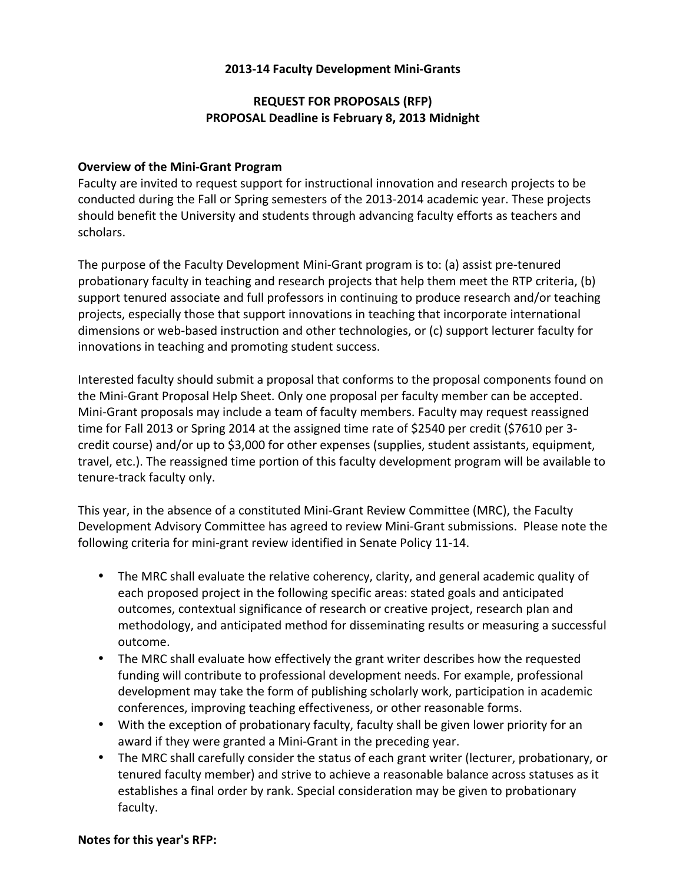## **2013-14 Faculty Development Mini-Grants**

# **REQUEST FOR PROPOSALS (RFP) PROPOSAL Deadline is February 8, 2013 Midnight**

## **Overview of the Mini-Grant Program**

Faculty are invited to request support for instructional innovation and research projects to be conducted during the Fall or Spring semesters of the 2013-2014 academic year. These projects should benefit the University and students through advancing faculty efforts as teachers and scholars. 

The purpose of the Faculty Development Mini-Grant program is to: (a) assist pre-tenured probationary faculty in teaching and research projects that help them meet the RTP criteria, (b) support tenured associate and full professors in continuing to produce research and/or teaching projects, especially those that support innovations in teaching that incorporate international dimensions or web-based instruction and other technologies, or (c) support lecturer faculty for innovations in teaching and promoting student success.

Interested faculty should submit a proposal that conforms to the proposal components found on the Mini-Grant Proposal Help Sheet. Only one proposal per faculty member can be accepted. Mini-Grant proposals may include a team of faculty members. Faculty may request reassigned time for Fall 2013 or Spring 2014 at the assigned time rate of \$2540 per credit (\$7610 per 3credit course) and/or up to \$3,000 for other expenses (supplies, student assistants, equipment, travel, etc.). The reassigned time portion of this faculty development program will be available to tenure-track faculty only.

This year, in the absence of a constituted Mini-Grant Review Committee (MRC), the Faculty Development Advisory Committee has agreed to review Mini-Grant submissions. Please note the following criteria for mini-grant review identified in Senate Policy 11-14.

- The MRC shall evaluate the relative coherency, clarity, and general academic quality of each proposed project in the following specific areas: stated goals and anticipated outcomes, contextual significance of research or creative project, research plan and methodology, and anticipated method for disseminating results or measuring a successful outcome.
- The MRC shall evaluate how effectively the grant writer describes how the requested funding will contribute to professional development needs. For example, professional development may take the form of publishing scholarly work, participation in academic conferences, improving teaching effectiveness, or other reasonable forms.
- With the exception of probationary faculty, faculty shall be given lower priority for an award if they were granted a Mini-Grant in the preceding year.
- The MRC shall carefully consider the status of each grant writer (lecturer, probationary, or tenured faculty member) and strive to achieve a reasonable balance across statuses as it establishes a final order by rank. Special consideration may be given to probationary faculty.

#### **Notes for this year's RFP:**